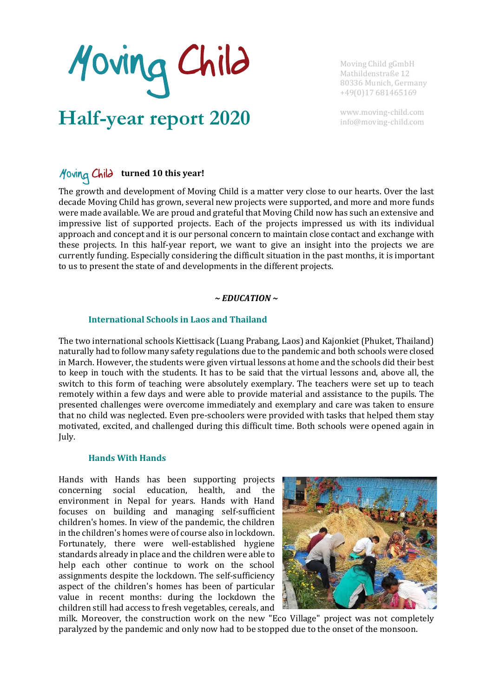Moving Child

**Half-year report 2020**

Moving Child gGmbH Mathildenstraße 12 80336 Munich, Germany +49(0)17 681465169

www.moving-child.com [info@moving-child.com](mailto:info@moving-child.com)

# *H*oving Child turned 10 this year!

The growth and development of Moving Child is a matter very close to our hearts. Over the last decade Moving Child has grown, several new projects were supported, and more and more funds were made available. We are proud and grateful that Moving Child now has such an extensive and impressive list of supported projects. Each of the projects impressed us with its individual approach and concept and it is our personal concern to maintain close contact and exchange with these projects. In this half-year report, we want to give an insight into the projects we are currently funding. Especially considering the difficult situation in the past months, it is important to us to present the state of and developments in the different projects.

# *~ EDUCATION ~*

# **International Schools in Laos and Thailand**

The two international schools Kiettisack (Luang Prabang, Laos) and Kajonkiet (Phuket, Thailand) naturally had to follow many safety regulations due to the pandemic and both schools were closed in March. However, the students were given virtual lessons at home and the schools did their best to keep in touch with the students. It has to be said that the virtual lessons and, above all, the switch to this form of teaching were absolutely exemplary. The teachers were set up to teach remotely within a few days and were able to provide material and assistance to the pupils. The presented challenges were overcome immediately and exemplary and care was taken to ensure that no child was neglected. Even pre-schoolers were provided with tasks that helped them stay motivated, excited, and challenged during this difficult time. Both schools were opened again in July.

## **Hands With Hands**

Hands with Hands has been supporting projects concerning social education, health, and the environment in Nepal for years. Hands with Hand focuses on building and managing self-sufficient children's homes. In view of the pandemic, the children in the children's homes were of course also in lockdown. Fortunately, there were well-established hygiene standards already in place and the children were able to help each other continue to work on the school assignments despite the lockdown. The self-sufficiency aspect of the children's homes has been of particular value in recent months: during the lockdown the children still had access to fresh vegetables, cereals, and



milk. Moreover, the construction work on the new "Eco Village" project was not completely paralyzed by the pandemic and only now had to be stopped due to the onset of the monsoon.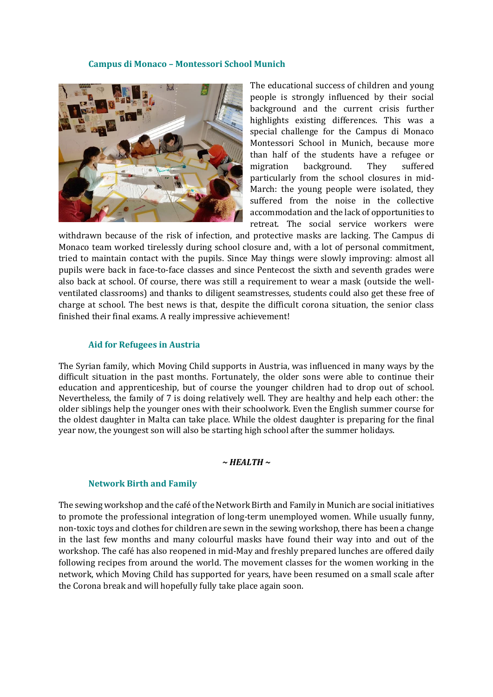#### **Campus di Monaco – Montessori School Munich**



The educational success of children and young people is strongly influenced by their social background and the current crisis further highlights existing differences. This was a special challenge for the Campus di Monaco Montessori School in Munich, because more than half of the students have a refugee or migration background. They suffered particularly from the school closures in mid-March: the young people were isolated, they suffered from the noise in the collective accommodation and the lack of opportunities to retreat. The social service workers were

withdrawn because of the risk of infection, and protective masks are lacking. The Campus di Monaco team worked tirelessly during school closure and, with a lot of personal commitment, tried to maintain contact with the pupils. Since May things were slowly improving: almost all pupils were back in face-to-face classes and since Pentecost the sixth and seventh grades were also back at school. Of course, there was still a requirement to wear a mask (outside the wellventilated classrooms) and thanks to diligent seamstresses, students could also get these free of charge at school. The best news is that, despite the difficult corona situation, the senior class finished their final exams. A really impressive achievement!

## **Aid for Refugees in Austria**

The Syrian family, which Moving Child supports in Austria, was influenced in many ways by the difficult situation in the past months. Fortunately, the older sons were able to continue their education and apprenticeship, but of course the younger children had to drop out of school. Nevertheless, the family of 7 is doing relatively well. They are healthy and help each other: the older siblings help the younger ones with their schoolwork. Even the English summer course for the oldest daughter in Malta can take place. While the oldest daughter is preparing for the final year now, the youngest son will also be starting high school after the summer holidays.

#### *~ HEALTH ~*

## **Network Birth and Family**

The sewing workshop and the café of the Network Birth and Family in Munich are social initiatives to promote the professional integration of long-term unemployed women. While usually funny, non-toxic toys and clothes for children are sewn in the sewing workshop, there has been a change in the last few months and many colourful masks have found their way into and out of the workshop. The café has also reopened in mid-May and freshly prepared lunches are offered daily following recipes from around the world. The movement classes for the women working in the network, which Moving Child has supported for years, have been resumed on a small scale after the Corona break and will hopefully fully take place again soon.